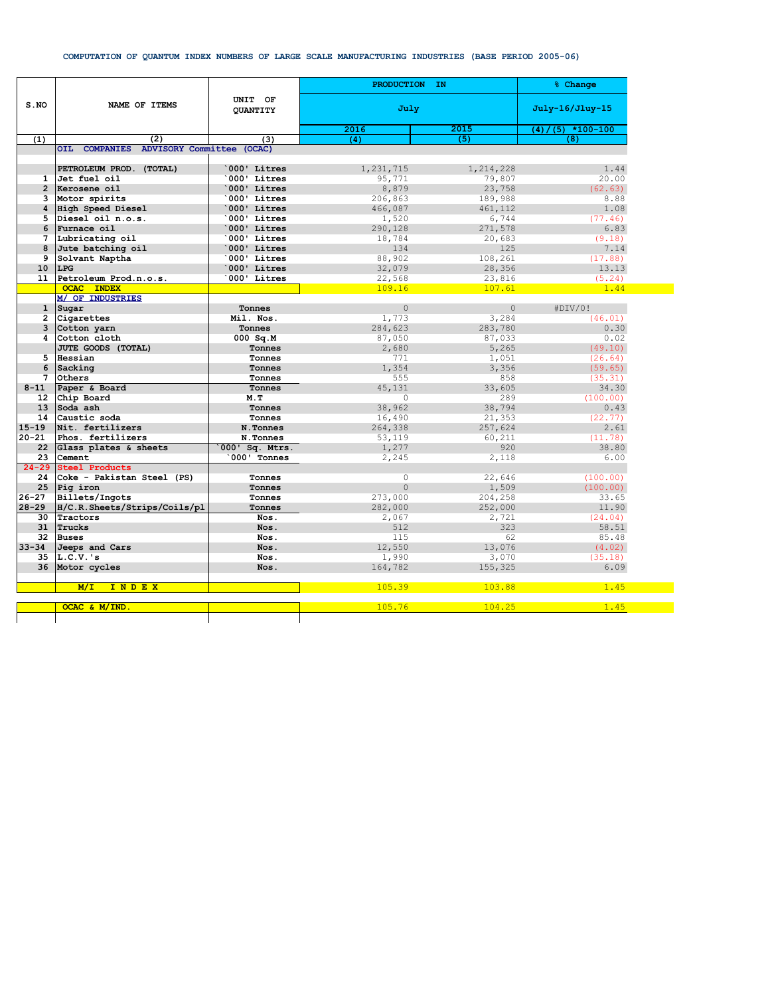## **COMPUTATION OF QUANTUM INDEX NUMBERS OF LARGE SCALE MANUFACTURING INDUSTRIES (BASE PERIOD 2005-06)**

|                 |                                         |                            | PRODUCTION IN  |                 | % Change                     |
|-----------------|-----------------------------------------|----------------------------|----------------|-----------------|------------------------------|
| S.NO            | NAME OF ITEMS                           | UNIT OF<br><b>QUANTITY</b> | July           | July-16/Jluy-15 |                              |
|                 |                                         |                            | 2016           | 2015            | $(4) / (5) \times 100 - 100$ |
| (1)             | (2)                                     | (3)                        | (4)            | (5)             | (8)                          |
|                 | OIL COMPANIES ADVISORY Committee (OCAC) |                            |                |                 |                              |
|                 |                                         |                            |                |                 |                              |
|                 | PETROLEUM PROD. (TOTAL)                 | 000' Litres                | 1,231,715      | 1,214,228       | 1.44                         |
|                 | 1 Jet fuel oil                          | 000' Litres'               | 95,771         | 79,807          | 20.00                        |
|                 | 2 Kerosene oil                          | 000' Litres                | 8,879          | 23,758          | (62.63)                      |
| 3               | Motor spirits                           | 000' Litres                | 206,863        | 189,988         | 8.88                         |
|                 | 4 High Speed Diesel                     | 000' Litres                | 466,087        | 461,112         | 1.08                         |
| 5               | Diesel oil n.o.s.                       | `000' Litres               | 1,520          | 6,744           | (77.46)                      |
| 6               | Furnace oil                             | 000' Litres                | 290,128        | 271,578         | 6.83                         |
|                 | 7 Lubricating oil                       | `000' Litres               | 18,784         | 20,683          | (9.18)                       |
| 8               | Jute batching oil                       | 000' Litres                | 134            | 125             | 7.14                         |
| 9               | Solvant Naptha                          | 000' Litres                | 88,902         | 108,261         | (17.88)                      |
| 10 <sup>1</sup> | LPG                                     | 000' Litres                | 32,079         | 28,356          | 13.13                        |
|                 | 11 Petroleum Prod.n.o.s.                | 000' Litres'               | 22,568         | 23,816          | (5.24)                       |
|                 | <b>OCAC INDEX</b>                       |                            | 109.16         | 107.61          | 1.44                         |
|                 | M/ OF INDUSTRIES                        |                            |                |                 |                              |
| $\mathbf{1}$    | Sugar                                   | Tonnes                     | $\mathbf{0}$   | $\circ$         | #DIV/0!                      |
| 2               | Cigarettes                              | Mil. Nos.                  | 1,773          | 3,284           | (46.01)                      |
| 3               | Cotton yarn                             | Tonnes                     | 284,623        | 283,780         | 0.30                         |
| 4               | Cotton cloth                            | $000$ Sq.M                 | 87,050         | 87,033          | 0.02                         |
|                 | JUTE GOODS (TOTAL)                      | Tonnes                     | 2,680          | 5,265           | (49.10)                      |
|                 | 5 Hessian                               | Tonnes                     | 771            | 1,051           | (26.64)                      |
| 6               | Sacking                                 | Tonnes                     | 1,354          | 3,356           | (59.65)                      |
| 7               | Others                                  | Tonnes                     | 555            | 858             | (35.31)                      |
| $8 - 11$        | Paper & Board                           | Tonnes                     | 45,131         | 33,605          | 34.30                        |
|                 | 12 Chip Board                           | M.T                        | $\circ$        | 289             | (100.00)                     |
| 13 <sup>7</sup> | Soda ash                                | Tonnes                     | 38,962         | 38,794          | 0.43                         |
| 14              | Caustic soda                            | Tonnes                     | 16,490         | 21,353          | (22.77)                      |
| $15 - 19$       | Nit. fertilizers                        | N.Tonnes                   | 264,338        | 257,624         | 2.61                         |
| $20 - 21$       | Phos. fertilizers                       | N.Tonnes                   | 53,119         | 60,211          | (11.78)                      |
|                 | 22 Glass plates & sheets                | 000' Sq. Mtrs.             | 1,277          | 920             | 38.80                        |
| 23              | Cement                                  | 000' Tonnes                | 2,245          | 2,118           | 6.00                         |
| $24 - 29$       | <b>Steel Products</b>                   |                            |                |                 |                              |
| 24              | Coke - Pakistan Steel (PS)              | Tonnes                     | $\circ$        | 22,646          | (100.00)                     |
| 25              | Pig iron                                | Tonnes                     | $\overline{0}$ | 1,509           | (100.00)                     |
| $26 - 27$       | Billets/Ingots                          | Tonnes                     | 273,000        | 204,258         | 33.65                        |
| $28 - 29$       | H/C.R.Sheets/Strips/Coils/pl            | Tonnes                     | 282,000        | 252,000         | 11.90                        |
| 30              | Tractors                                | Nos.                       | 2,067          | 2,721           | (24.04)                      |
| 31              | Trucks                                  | Nos.                       | 512            | 323             | 58.51                        |
| 32              | <b>Buses</b>                            | Nos.                       | 115            | 62              | 85.48                        |
| $33 - 34$       | Jeeps and Cars                          | Nos.                       | 12,550         | 13,076          | (4.02)                       |
| 35              | $L.C.V.$ 's                             | Nos.                       | 1,990          | 3,070           | (35.18)                      |
|                 | 36 Motor cycles                         | Nos.                       | 164,782        | 155,325         | 6.09                         |
|                 |                                         |                            |                |                 |                              |
|                 | INDEX<br>M/T                            |                            | 105.39         | 103.88          | 1.45                         |
|                 |                                         |                            |                |                 |                              |
|                 | OCAC & M/IND                            |                            | 105.76         | 104.25          | 1.45                         |